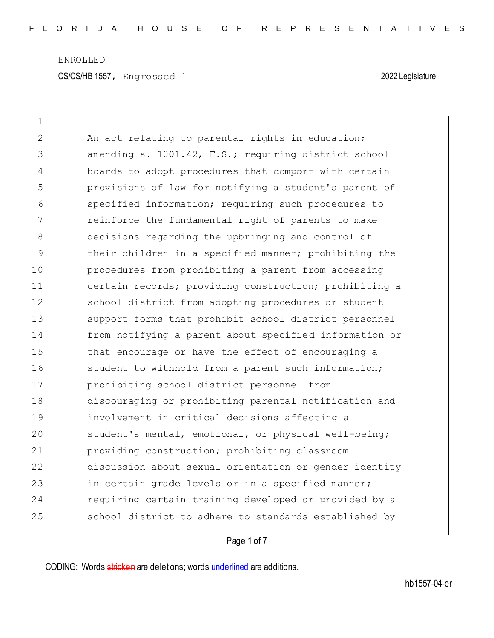ENROLLED CS/CS/HB 1557, Engrossed 1 2022 Legislature

| $\mathbf 1$  |                                                        |
|--------------|--------------------------------------------------------|
| $\mathbf{2}$ | An act relating to parental rights in education;       |
| 3            | amending s. 1001.42, F.S.; requiring district school   |
| 4            | boards to adopt procedures that comport with certain   |
| 5            | provisions of law for notifying a student's parent of  |
| 6            | specified information; requiring such procedures to    |
| 7            | reinforce the fundamental right of parents to make     |
| 8            | decisions regarding the upbringing and control of      |
| 9            | their children in a specified manner; prohibiting the  |
| 10           | procedures from prohibiting a parent from accessing    |
| 11           | certain records; providing construction; prohibiting a |
| 12           | school district from adopting procedures or student    |
| 13           | support forms that prohibit school district personnel  |
| 14           | from notifying a parent about specified information or |
| 15           | that encourage or have the effect of encouraging a     |
| 16           | student to withhold from a parent such information;    |
| 17           | prohibiting school district personnel from             |
| 18           | discouraging or prohibiting parental notification and  |
| 19           | involvement in critical decisions affecting a          |
| 20           | student's mental, emotional, or physical well-being;   |
| 21           | providing construction; prohibiting classroom          |
| 22           | discussion about sexual orientation or gender identity |
| 23           | in certain grade levels or in a specified manner;      |
| 24           | requiring certain training developed or provided by a  |
| 25           | school district to adhere to standards established by  |
|              |                                                        |

Page 1 of 7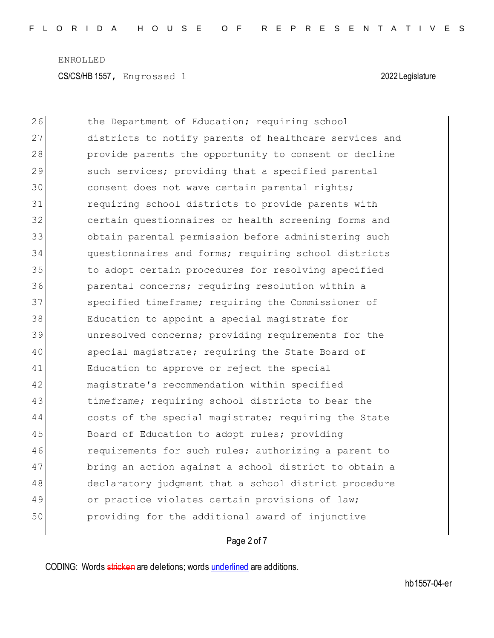ENROLLED CS/CS/HB 1557, Engrossed 1 2022 Legislature

26 the Department of Education; requiring school 27 districts to notify parents of healthcare services and 28 provide parents the opportunity to consent or decline 29 such services; providing that a specified parental 30 consent does not wave certain parental rights; 31 requiring school districts to provide parents with 32 certain questionnaires or health screening forms and 33 obtain parental permission before administering such 34 questionnaires and forms; requiring school districts 35 to adopt certain procedures for resolving specified 36 parental concerns; requiring resolution within a 37 specified timeframe; requiring the Commissioner of 38 Education to appoint a special magistrate for 39 unresolved concerns; providing requirements for the 40 special magistrate; requiring the State Board of 41 Education to approve or reject the special 42 magistrate's recommendation within specified 43 timeframe; requiring school districts to bear the 44 costs of the special magistrate; requiring the State 45 Board of Education to adopt rules; providing 46 requirements for such rules; authorizing a parent to 47 bring an action against a school district to obtain a 48 declaratory judgment that a school district procedure 49 or practice violates certain provisions of law; 50 providing for the additional award of injunctive

## Page 2 of 7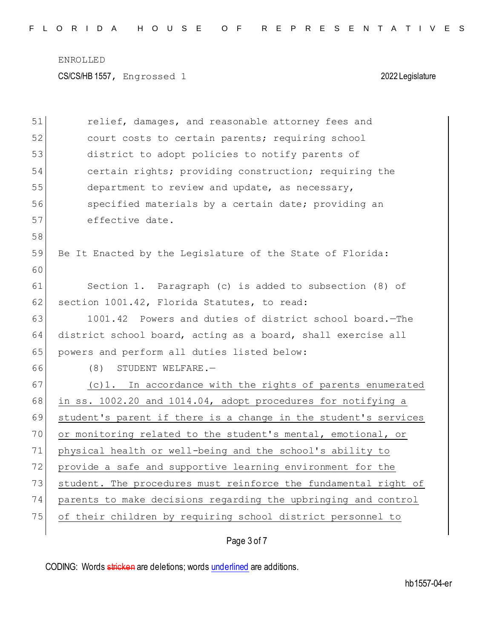CS/CS/HB 1557, Engrossed 1 2022 Legislature

| 51 | relief, damages, and reasonable attorney fees and               |
|----|-----------------------------------------------------------------|
| 52 | court costs to certain parents; requiring school                |
| 53 | district to adopt policies to notify parents of                 |
| 54 | certain rights; providing construction; requiring the           |
| 55 | department to review and update, as necessary,                  |
| 56 | specified materials by a certain date; providing an             |
| 57 | effective date.                                                 |
| 58 |                                                                 |
| 59 | Be It Enacted by the Legislature of the State of Florida:       |
| 60 |                                                                 |
| 61 | Section 1. Paragraph (c) is added to subsection (8) of          |
| 62 | section 1001.42, Florida Statutes, to read:                     |
| 63 | 1001.42 Powers and duties of district school board. - The       |
| 64 | district school board, acting as a board, shall exercise all    |
| 65 | powers and perform all duties listed below:                     |
| 66 | (8)<br>STUDENT WELFARE.-                                        |
| 67 | (c)1. In accordance with the rights of parents enumerated       |
| 68 | in ss. 1002.20 and 1014.04, adopt procedures for notifying a    |
| 69 | student's parent if there is a change in the student's services |
| 70 | or monitoring related to the student's mental, emotional, or    |
| 71 | physical health or well-being and the school's ability to       |
| 72 | provide a safe and supportive learning environment for the      |
| 73 | student. The procedures must reinforce the fundamental right of |
| 74 | parents to make decisions regarding the upbringing and control  |
| 75 | of their children by requiring school district personnel to     |
|    |                                                                 |

## Page 3 of 7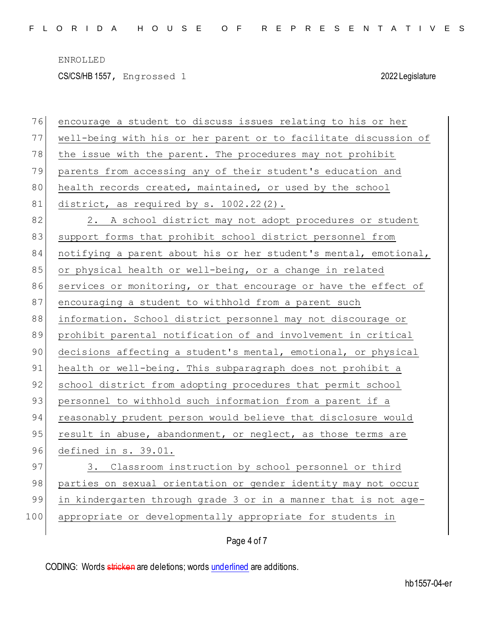CS/CS/HB 1557, Engrossed 1 2022 Legislature

| 76  | encourage a student to discuss issues relating to his or her     |
|-----|------------------------------------------------------------------|
| 77  | well-being with his or her parent or to facilitate discussion of |
| 78  | the issue with the parent. The procedures may not prohibit       |
| 79  | parents from accessing any of their student's education and      |
| 80  | health records created, maintained, or used by the school        |
| 81  | district, as required by s. 1002.22(2).                          |
| 82  | 2. A school district may not adopt procedures or student         |
| 83  | support forms that prohibit school district personnel from       |
| 84  | notifying a parent about his or her student's mental, emotional, |
| 85  | or physical health or well-being, or a change in related         |
| 86  | services or monitoring, or that encourage or have the effect of  |
| 87  | encouraging a student to withhold from a parent such             |
| 88  | information. School district personnel may not discourage or     |
| 89  | prohibit parental notification of and involvement in critical    |
| 90  | decisions affecting a student's mental, emotional, or physical   |
| 91  | health or well-being. This subparagraph does not prohibit a      |
| 92  | school district from adopting procedures that permit school      |
| 93  | personnel to withhold such information from a parent if a        |
| 94  | reasonably prudent person would believe that disclosure would    |
| 95  | result in abuse, abandonment, or neglect, as those terms are     |
| 96  | defined in s. 39.01.                                             |
| 97  | 3. Classroom instruction by school personnel or third            |
| 98  | parties on sexual orientation or gender identity may not occur   |
| 99  | in kindergarten through grade 3 or in a manner that is not age-  |
| 100 | appropriate or developmentally appropriate for students in       |
|     | Page 4 of 7                                                      |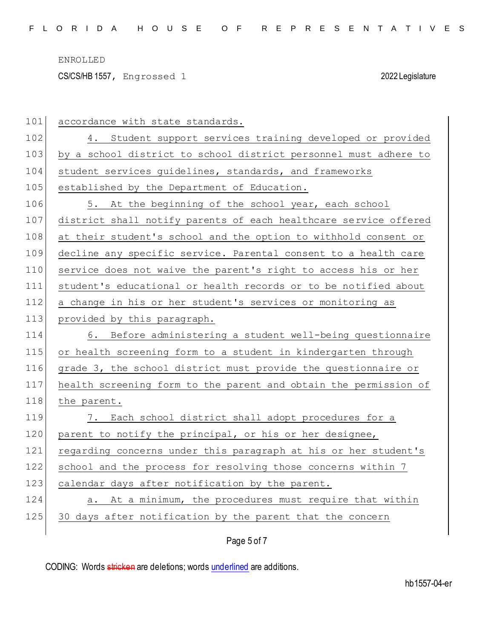CS/CS/HB 1557, Engrossed 1 2022 Legislature

| 101 | accordance with state standards.                                 |
|-----|------------------------------------------------------------------|
| 102 | 4. Student support services training developed or provided       |
| 103 | by a school district to school district personnel must adhere to |
| 104 | student services guidelines, standards, and frameworks           |
| 105 | established by the Department of Education.                      |
| 106 | 5. At the beginning of the school year, each school              |
| 107 | district shall notify parents of each healthcare service offered |
| 108 | at their student's school and the option to withhold consent or  |
| 109 | decline any specific service. Parental consent to a health care  |
| 110 | service does not waive the parent's right to access his or her   |
| 111 | student's educational or health records or to be notified about  |
| 112 | a change in his or her student's services or monitoring as       |
| 113 | provided by this paragraph.                                      |
| 114 | 6. Before administering a student well-being questionnaire       |
|     |                                                                  |
| 115 | or health screening form to a student in kindergarten through    |
| 116 | grade 3, the school district must provide the questionnaire or   |
| 117 | health screening form to the parent and obtain the permission of |
| 118 | the parent.                                                      |
| 119 | 7. Each school district shall adopt procedures for a             |
| 120 | parent to notify the principal, or his or her designee,          |
| 121 | regarding concerns under this paragraph at his or her student's  |
| 122 | school and the process for resolving those concerns within 7     |
| 123 | calendar days after notification by the parent.                  |
| 124 | a. At a minimum, the procedures must require that within         |
| 125 | 30 days after notification by the parent that the concern        |

Page 5 of 7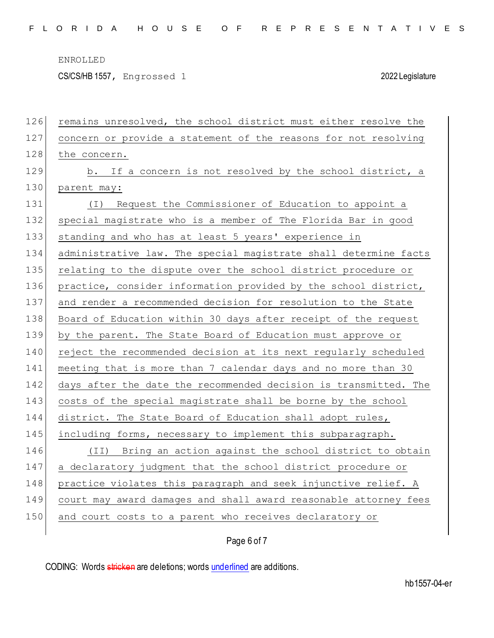CS/CS/HB 1557, Engrossed 1 2022 Legislature

| 126 | remains unresolved, the school district must either resolve the  |
|-----|------------------------------------------------------------------|
| 127 | concern or provide a statement of the reasons for not resolving  |
| 128 | the concern.                                                     |
| 129 | b. If a concern is not resolved by the school district, a        |
| 130 | parent may:                                                      |
| 131 | Request the Commissioner of Education to appoint a<br>( I )      |
| 132 | special magistrate who is a member of The Florida Bar in good    |
| 133 | standing and who has at least 5 years' experience in             |
| 134 | administrative law. The special magistrate shall determine facts |
| 135 | relating to the dispute over the school district procedure or    |
| 136 | practice, consider information provided by the school district,  |
| 137 | and render a recommended decision for resolution to the State    |
| 138 | Board of Education within 30 days after receipt of the request   |
| 139 | by the parent. The State Board of Education must approve or      |
| 140 | reject the recommended decision at its next regularly scheduled  |
| 141 | meeting that is more than 7 calendar days and no more than 30    |
| 142 | days after the date the recommended decision is transmitted. The |
| 143 | costs of the special magistrate shall be borne by the school     |
| 144 | district. The State Board of Education shall adopt rules,        |
| 145 | including forms, necessary to implement this subparagraph.       |
| 146 | (II) Bring an action against the school district to obtain       |
| 147 | a declaratory judgment that the school district procedure or     |
| 148 | practice violates this paragraph and seek injunctive relief. A   |
| 149 | court may award damages and shall award reasonable attorney fees |
| 150 | and court costs to a parent who receives declaratory or          |
|     |                                                                  |

## Page 6 of 7